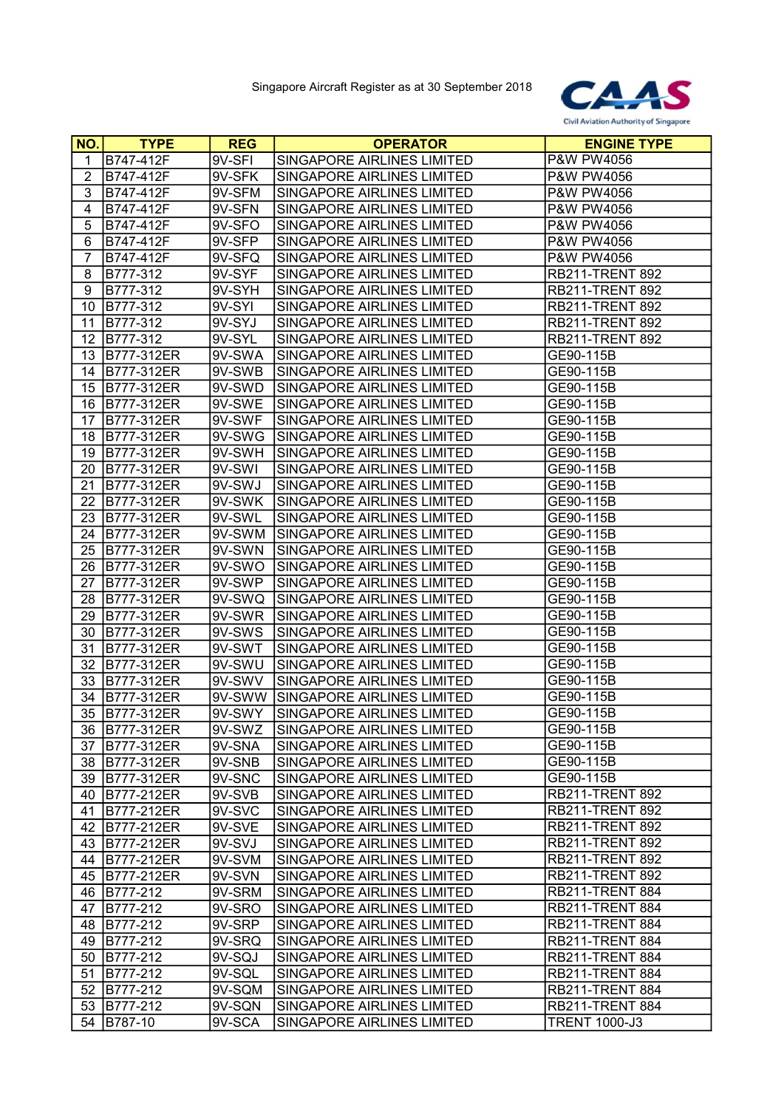

| <b>NO.</b>     | <b>TYPE</b>       | <b>REG</b> | <b>OPERATOR</b>            | <b>ENGINE TYPE</b>                 |
|----------------|-------------------|------------|----------------------------|------------------------------------|
| 1              | B747-412F         | 9V-SFI     | SINGAPORE AIRLINES LIMITED | P&W PW4056                         |
| $\overline{c}$ | B747-412F         | 9V-SFK     | SINGAPORE AIRLINES LIMITED | P&W PW4056                         |
| 3              | B747-412F         | 9V-SFM     | SINGAPORE AIRLINES LIMITED | P&W PW4056                         |
| 4              | B747-412F         | 9V-SFN     | SINGAPORE AIRLINES LIMITED | P&W PW4056                         |
| 5              | B747-412F         | 9V-SFO     | SINGAPORE AIRLINES LIMITED | P&W PW4056                         |
| 6              | B747-412F         | $9V-$ SFP  | SINGAPORE AIRLINES LIMITED | P&W PW4056                         |
| $\overline{7}$ | B747-412F         | 9V-SFQ     | SINGAPORE AIRLINES LIMITED | P&W PW4056                         |
| 8              | B777-312          | 9V-SYF     | SINGAPORE AIRLINES LIMITED | <b>RB211-TRENT 892</b>             |
| 9              | B777-312          | 9V-SYH     | SINGAPORE AIRLINES LIMITED | <b>RB211-TRENT 892</b>             |
| 10             | B777-312          | 9V-SYI     | SINGAPORE AIRLINES LIMITED | <b>RB211-TRENT 892</b>             |
| 11             | B777-312          | 9V-SYJ     | SINGAPORE AIRLINES LIMITED | <b>RB211-TRENT 892</b>             |
| 12             | B777-312          | 9V-SYL     | SINGAPORE AIRLINES LIMITED | <b>RB211-TRENT 892</b>             |
| 13             | B777-312ER        | 9V-SWA     | SINGAPORE AIRLINES LIMITED | GE90-115B                          |
| 14             | B777-312ER        | 9V-SWB     | SINGAPORE AIRLINES LIMITED | GE90-115B                          |
| 15             | B777-312ER        | 9V-SWD     | SINGAPORE AIRLINES LIMITED | GE90-115B                          |
| 16             | B777-312ER        | 9V-SWE     | SINGAPORE AIRLINES LIMITED | GE90-115B                          |
| 17             | B777-312ER        | 9V-SWF     | SINGAPORE AIRLINES LIMITED | GE90-115B                          |
| 18             | B777-312ER        | 9V-SWG     | SINGAPORE AIRLINES LIMITED | GE90-115B                          |
| 19             | B777-312ER        | 9V-SWH     | SINGAPORE AIRLINES LIMITED | GE90-115B                          |
| 20             | B777-312ER        | 9V-SWI     | SINGAPORE AIRLINES LIMITED | GE90-115B                          |
| 21             | B777-312ER        | 9V-SWJ     | SINGAPORE AIRLINES LIMITED | GE90-115B                          |
| 22             | B777-312ER        | 9V-SWK     | SINGAPORE AIRLINES LIMITED | GE90-115B                          |
| 23             | B777-312ER        | 9V-SWL     | SINGAPORE AIRLINES LIMITED | GE90-115B                          |
| 24             | B777-312ER        | 9V-SWM     | SINGAPORE AIRLINES LIMITED | GE90-115B                          |
| 25             | B777-312ER        | 9V-SWN     | SINGAPORE AIRLINES LIMITED | GE90-115B                          |
| 26             | B777-312ER        | 9V-SWO     | SINGAPORE AIRLINES LIMITED | GE90-115B                          |
| 27             | B777-312ER        | 9V-SWP     | SINGAPORE AIRLINES LIMITED | GE90-115B                          |
| 28             | B777-312ER        | 9V-SWQ     | SINGAPORE AIRLINES LIMITED | GE90-115B                          |
| 29             | B777-312ER        | 9V-SWR     | SINGAPORE AIRLINES LIMITED | GE90-115B                          |
| 30             | B777-312ER        | 9V-SWS     | SINGAPORE AIRLINES LIMITED | GE90-115B                          |
| 31             | B777-312ER        | 9V-SWT     | SINGAPORE AIRLINES LIMITED | GE90-115B                          |
| 32             | B777-312ER        | 9V-SWU     | SINGAPORE AIRLINES LIMITED | GE90-115B                          |
| 33             | B777-312ER        | 9V-SWV     | SINGAPORE AIRLINES LIMITED | GE90-115B                          |
| 34             | B777-312ER        | 9V-SWW     | SINGAPORE AIRLINES LIMITED | GE90-115B                          |
| 35             | B777-312ER        | 9V-SWY     | SINGAPORE AIRLINES LIMITED | GE90-115B                          |
|                | 36 B777-312ER     | 9V-SWZ     | SINGAPORE AIRLINES LIMITED | GE90-115B                          |
| 37             | B777-312ER        | 9V-SNA     | SINGAPORE AIRLINES LIMITED | GE90-115B                          |
| 38             | <b>B777-312ER</b> | 9V-SNB     | SINGAPORE AIRLINES LIMITED | GE90-115B                          |
| 39             | B777-312ER        | 9V-SNC     | SINGAPORE AIRLINES LIMITED | GE90-115B                          |
| 40             | B777-212ER        | 9V-SVB     | SINGAPORE AIRLINES LIMITED | <b>RB211-TRENT 892</b>             |
| 41             | B777-212ER        | 9V-SVC     | SINGAPORE AIRLINES LIMITED | <b>RB211-TRENT 892</b>             |
| 42             | B777-212ER        | 9V-SVE     | SINGAPORE AIRLINES LIMITED | <b>RB211-TRENT 892</b>             |
| 43             | B777-212ER        | 9V-SVJ     | SINGAPORE AIRLINES LIMITED | <b>RB211-TRENT 892</b>             |
| 44             | B777-212ER        | 9V-SVM     | SINGAPORE AIRLINES LIMITED | <b>RB211-TRENT 892</b>             |
| 45             | B777-212ER        | 9V-SVN     | SINGAPORE AIRLINES LIMITED | <b>RB211-TRENT 892</b>             |
| 46             | B777-212          | 9V-SRM     | SINGAPORE AIRLINES LIMITED | RB211-TRENT 884                    |
| 47             | B777-212          | 9V-SRO     | SINGAPORE AIRLINES LIMITED | RB211-TRENT 884                    |
| 48             | B777-212          | 9V-SRP     | SINGAPORE AIRLINES LIMITED | RB211-TRENT 884                    |
| 49             | B777-212          | 9V-SRQ     | SINGAPORE AIRLINES LIMITED | RB211-TRENT 884                    |
| 50             | B777-212          | 9V-SQJ     | SINGAPORE AIRLINES LIMITED | RB211-TRENT 884                    |
| 51             | B777-212          | 9V-SQL     | SINGAPORE AIRLINES LIMITED | <b>RB211-TRENT 884</b>             |
| 52             | B777-212          | 9V-SQM     | SINGAPORE AIRLINES LIMITED | RB211-TRENT 884<br>RB211-TRENT 884 |
| 53<br>54       | B777-212          | 9V-SQN     | SINGAPORE AIRLINES LIMITED | <b>TRENT 1000-J3</b>               |
|                | B787-10           | 9V-SCA     | SINGAPORE AIRLINES LIMITED |                                    |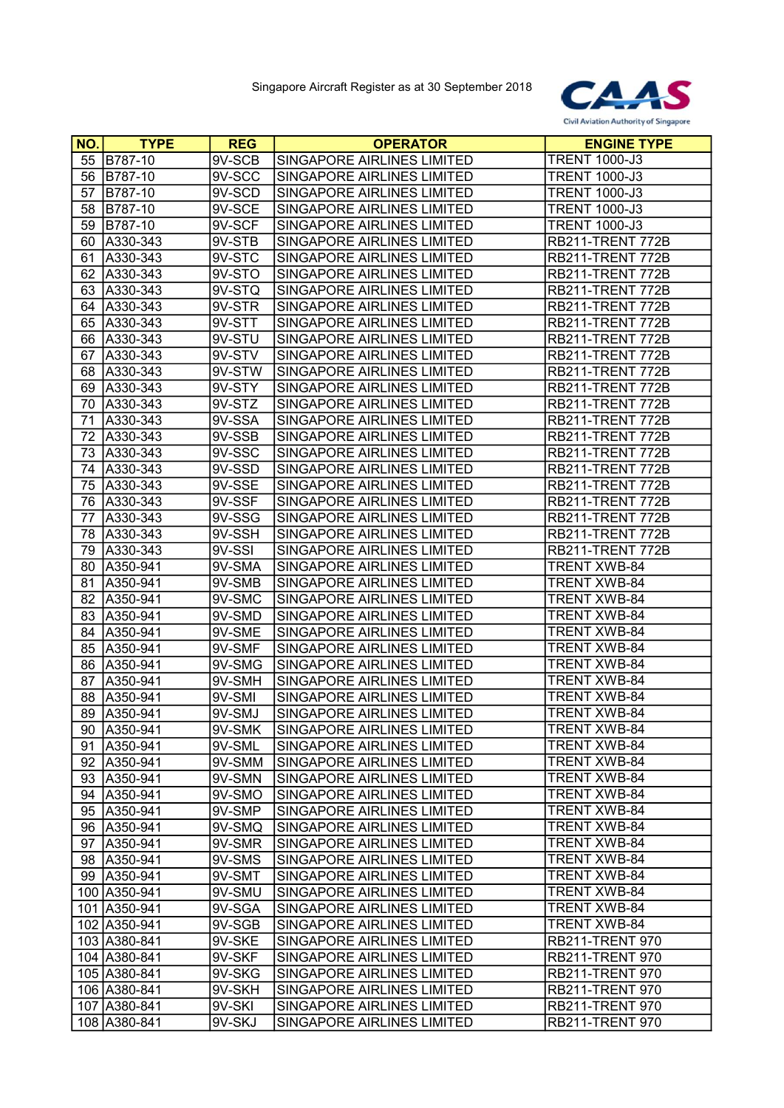

| NO. | <b>TYPE</b>   | <b>REG</b> | <b>OPERATOR</b>                   | <b>ENGINE TYPE</b>     |
|-----|---------------|------------|-----------------------------------|------------------------|
| 55  | B787-10       | 9V-SCB     | SINGAPORE AIRLINES LIMITED        | <b>TRENT 1000-J3</b>   |
| 56  | B787-10       | 9V-SCC     | SINGAPORE AIRLINES LIMITED        | <b>TRENT 1000-J3</b>   |
| 57  | B787-10       | 9V-SCD     | SINGAPORE AIRLINES LIMITED        | <b>TRENT 1000-J3</b>   |
| 58  | B787-10       | $9V-SCE$   | SINGAPORE AIRLINES LIMITED        | <b>TRENT 1000-J3</b>   |
| 59  | B787-10       | 9V-SCF     | SINGAPORE AIRLINES LIMITED        | <b>TRENT 1000-J3</b>   |
| 60  | A330-343      | 9V-STB     | SINGAPORE AIRLINES LIMITED        | RB211-TRENT 772B       |
| 61  | A330-343      | 9V-STC     | SINGAPORE AIRLINES LIMITED        | RB211-TRENT 772B       |
| 62  | A330-343      | 9V-STO     | SINGAPORE AIRLINES LIMITED        | RB211-TRENT 772B       |
| 63  | A330-343      | 9V-STQ     | SINGAPORE AIRLINES LIMITED        | RB211-TRENT 772B       |
| 64  | A330-343      | 9V-STR     | SINGAPORE AIRLINES LIMITED        | RB211-TRENT 772B       |
| 65  | A330-343      | 9V-STT     | SINGAPORE AIRLINES LIMITED        | RB211-TRENT 772B       |
| 66  | A330-343      | 9V-STU     | SINGAPORE AIRLINES LIMITED        | RB211-TRENT 772B       |
| 67  | A330-343      | 9V-STV     | SINGAPORE AIRLINES LIMITED        | RB211-TRENT 772B       |
| 68  | A330-343      | 9V-STW     | SINGAPORE AIRLINES LIMITED        | RB211-TRENT 772B       |
| 69  | A330-343      | 9V-STY     | SINGAPORE AIRLINES LIMITED        | RB211-TRENT 772B       |
| 70  | A330-343      | 9V-STZ     | SINGAPORE AIRLINES LIMITED        | RB211-TRENT 772B       |
| 71  | A330-343      | 9V-SSA     | SINGAPORE AIRLINES LIMITED        | RB211-TRENT 772B       |
| 72  | A330-343      | 9V-SSB     | SINGAPORE AIRLINES LIMITED        | RB211-TRENT 772B       |
| 73  | A330-343      | 9V-SSC     | SINGAPORE AIRLINES LIMITED        | RB211-TRENT 772B       |
| 74  | A330-343      | 9V-SSD     | <b>SINGAPORE AIRLINES LIMITED</b> | RB211-TRENT 772B       |
| 75  | A330-343      | 9V-SSE     | SINGAPORE AIRLINES LIMITED        | RB211-TRENT 772B       |
| 76  | A330-343      | 9V-SSF     | SINGAPORE AIRLINES LIMITED        | RB211-TRENT 772B       |
| 77  | A330-343      | 9V-SSG     | SINGAPORE AIRLINES LIMITED        | RB211-TRENT 772B       |
| 78  | A330-343      | 9V-SSH     | SINGAPORE AIRLINES LIMITED        | RB211-TRENT 772B       |
| 79  | A330-343      | 9V-SSI     | SINGAPORE AIRLINES LIMITED        | RB211-TRENT 772B       |
| 80  | A350-941      | 9V-SMA     | SINGAPORE AIRLINES LIMITED        | <b>TRENT XWB-84</b>    |
| 81  | A350-941      | 9V-SMB     | SINGAPORE AIRLINES LIMITED        | <b>TRENT XWB-84</b>    |
| 82  | A350-941      | 9V-SMC     | SINGAPORE AIRLINES LIMITED        | <b>TRENT XWB-84</b>    |
| 83  | A350-941      | 9V-SMD     | SINGAPORE AIRLINES LIMITED        | <b>TRENT XWB-84</b>    |
| 84  | A350-941      | 9V-SME     | SINGAPORE AIRLINES LIMITED        | TRENT XWB-84           |
| 85  | A350-941      | 9V-SMF     | SINGAPORE AIRLINES LIMITED        | <b>TRENT XWB-84</b>    |
| 86  | A350-941      | 9V-SMG     | SINGAPORE AIRLINES LIMITED        | <b>TRENT XWB-84</b>    |
| 87  | A350-941      | 9V-SMH     | SINGAPORE AIRLINES LIMITED        | <b>TRENT XWB-84</b>    |
| 88  | A350-941      | 9V-SMI     | SINGAPORE AIRLINES LIMITED        | <b>TRENT XWB-84</b>    |
| 89  | A350-941      | 9V-SMJ     | SINGAPORE AIRLINES LIMITED        | TRENT XWB-84           |
|     | 90   A350-941 | 9V-SMK     | SINGAPORE AIRLINES LIMITED        | <b>TRENT XWB-84</b>    |
| 91. | A350-941      | 9V-SML     | SINGAPORE AIRLINES LIMITED        | TRENT XWB-84           |
|     | 92 A350-941   | 9V-SMM     | SINGAPORE AIRLINES LIMITED        | <b>TRENT XWB-84</b>    |
|     | 93 A350-941   | 9V-SMN     | SINGAPORE AIRLINES LIMITED        | <b>TRENT XWB-84</b>    |
| 94  | A350-941      | 9V-SMO     | SINGAPORE AIRLINES LIMITED        | <b>TRENT XWB-84</b>    |
|     | 95 A350-941   | 9V-SMP     | SINGAPORE AIRLINES LIMITED        | <b>TRENT XWB-84</b>    |
| 96  | A350-941      | 9V-SMQ     | SINGAPORE AIRLINES LIMITED        | <b>TRENT XWB-84</b>    |
| 97  | A350-941      | 9V-SMR     | SINGAPORE AIRLINES LIMITED        | TRENT XWB-84           |
| 98  | A350-941      | 9V-SMS     | SINGAPORE AIRLINES LIMITED        | <b>TRENT XWB-84</b>    |
| 99  | A350-941      | 9V-SMT     | SINGAPORE AIRLINES LIMITED        | TRENT XWB-84           |
|     | 100 A350-941  | 9V-SMU     | SINGAPORE AIRLINES LIMITED        | TRENT XWB-84           |
|     | 101 A350-941  | 9V-SGA     | SINGAPORE AIRLINES LIMITED        | TRENT XWB-84           |
|     | 102 A350-941  | 9V-SGB     | SINGAPORE AIRLINES LIMITED        | <b>TRENT XWB-84</b>    |
|     | 103 A380-841  | 9V-SKE     | SINGAPORE AIRLINES LIMITED        | <b>RB211-TRENT 970</b> |
|     | 104 A380-841  | 9V-SKF     | SINGAPORE AIRLINES LIMITED        | <b>RB211-TRENT 970</b> |
|     | 105 A380-841  | 9V-SKG     | SINGAPORE AIRLINES LIMITED        | <b>RB211-TRENT 970</b> |
|     | 106 A380-841  | 9V-SKH     | SINGAPORE AIRLINES LIMITED        | <b>RB211-TRENT 970</b> |
|     | 107 A380-841  | 9V-SKI     | SINGAPORE AIRLINES LIMITED        | <b>RB211-TRENT 970</b> |
|     | 108 A380-841  | 9V-SKJ     | SINGAPORE AIRLINES LIMITED        | <b>RB211-TRENT 970</b> |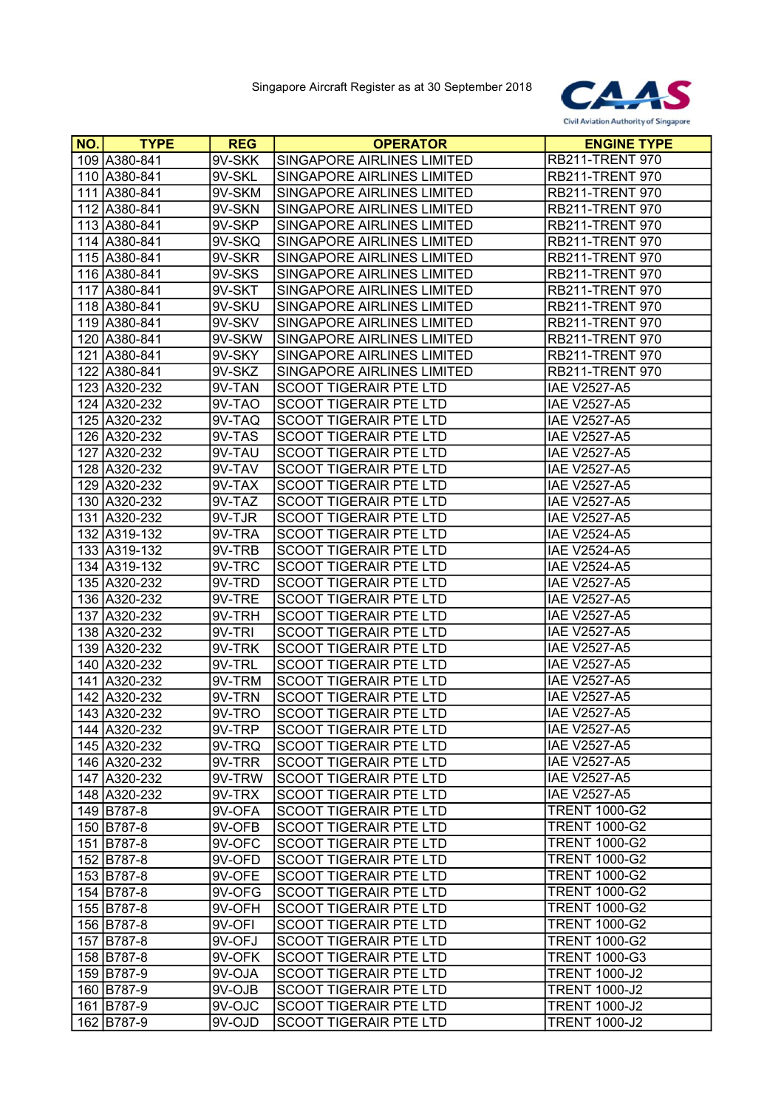

| NO. | <b>TYPE</b>    | <b>REG</b> | <b>OPERATOR</b>               | <b>ENGINE TYPE</b>     |
|-----|----------------|------------|-------------------------------|------------------------|
|     | 109 A380-841   | 9V-SKK     | SINGAPORE AIRLINES LIMITED    | <b>RB211-TRENT 970</b> |
|     | 110 A380-841   | 9V-SKL     | SINGAPORE AIRLINES LIMITED    | <b>RB211-TRENT 970</b> |
|     | 111 A380-841   | 9V-SKM     | SINGAPORE AIRLINES LIMITED    | <b>RB211-TRENT 970</b> |
|     | 112 A380-841   | 9V-SKN     | SINGAPORE AIRLINES LIMITED    | <b>RB211-TRENT 970</b> |
|     | 113 A380-841   | 9V-SKP     | SINGAPORE AIRLINES LIMITED    | <b>RB211-TRENT 970</b> |
|     | 114 A380-841   | $9V-SKQ$   | SINGAPORE AIRLINES LIMITED    | <b>RB211-TRENT 970</b> |
|     | 115 A380-841   | 9V-SKR     | SINGAPORE AIRLINES LIMITED    | <b>RB211-TRENT 970</b> |
|     | 116 A380-841   | 9V-SKS     | SINGAPORE AIRLINES LIMITED    | <b>RB211-TRENT 970</b> |
|     | 117 A380-841   | 9V-SKT     | SINGAPORE AIRLINES LIMITED    | <b>RB211-TRENT 970</b> |
|     | 118 A380-841   | 9V-SKU     | SINGAPORE AIRLINES LIMITED    | <b>RB211-TRENT 970</b> |
|     | 119 A380-841   | 9V-SKV     | SINGAPORE AIRLINES LIMITED    | <b>RB211-TRENT 970</b> |
|     | 120   A380-841 | 9V-SKW     | SINGAPORE AIRLINES LIMITED    | <b>RB211-TRENT 970</b> |
|     | 121 A380-841   | $9V-SKY$   | SINGAPORE AIRLINES LIMITED    | <b>RB211-TRENT 970</b> |
|     | 122 A380-841   | $9V-SKZ$   | SINGAPORE AIRLINES LIMITED    | <b>RB211-TRENT 970</b> |
|     | 123 A320-232   | 9V-TAN     | <b>SCOOT TIGERAIR PTE LTD</b> | <b>IAE V2527-A5</b>    |
|     | 124 A320-232   | 9V-TAO     | <b>SCOOT TIGERAIR PTE LTD</b> | <b>IAE V2527-A5</b>    |
|     | 125 A320-232   | 9V-TAQ     | <b>SCOOT TIGERAIR PTE LTD</b> | <b>IAE V2527-A5</b>    |
|     | 126 A320-232   | 9V-TAS     | <b>SCOOT TIGERAIR PTE LTD</b> | <b>IAE V2527-A5</b>    |
|     | 127 A320-232   | 9V-TAU     | <b>SCOOT TIGERAIR PTE LTD</b> | <b>IAE V2527-A5</b>    |
|     | 128 A320-232   | 9V-TAV     | <b>SCOOT TIGERAIR PTE LTD</b> | <b>IAE V2527-A5</b>    |
|     | 129 A320-232   | 9V-TAX     | <b>SCOOT TIGERAIR PTE LTD</b> | <b>IAE V2527-A5</b>    |
|     | 130 A320-232   | 9V-TAZ     | <b>SCOOT TIGERAIR PTE LTD</b> | <b>IAE V2527-A5</b>    |
|     | 131 A320-232   | 9V-TJR     | SCOOT TIGERAIR PTE LTD        | <b>IAE V2527-A5</b>    |
|     | 132 A319-132   | 9V-TRA     | <b>SCOOT TIGERAIR PTE LTD</b> | <b>IAE V2524-A5</b>    |
|     | 133 A319-132   | 9V-TRB     | <b>SCOOT TIGERAIR PTE LTD</b> | <b>IAE V2524-A5</b>    |
|     | 134 A319-132   | 9V-TRC     | <b>SCOOT TIGERAIR PTE LTD</b> | <b>IAE V2524-A5</b>    |
|     | 135 A320-232   | 9V-TRD     | <b>SCOOT TIGERAIR PTE LTD</b> | <b>IAE V2527-A5</b>    |
|     | 136 A320-232   | 9V-TRE     | <b>SCOOT TIGERAIR PTE LTD</b> | <b>IAE V2527-A5</b>    |
|     | 137 A320-232   | $9V-TRH$   | <b>SCOOT TIGERAIR PTE LTD</b> | <b>IAE V2527-A5</b>    |
|     | 138 A320-232   | 9V-TRI     | <b>SCOOT TIGERAIR PTE LTD</b> | <b>IAE V2527-A5</b>    |
|     | 139 A320-232   | 9V-TRK     | SCOOT TIGERAIR PTE LTD        | <b>IAE V2527-A5</b>    |
|     | 140 A320-232   | 9V-TRL     | <b>SCOOT TIGERAIR PTE LTD</b> | <b>IAE V2527-A5</b>    |
|     | 141 A320-232   | 9V-TRM     | <b>SCOOT TIGERAIR PTE LTD</b> | IAE V2527-A5           |
|     | 142 A320-232   | 9V-TRN     | <b>SCOOT TIGERAIR PTE LTD</b> | <b>IAE V2527-A5</b>    |
|     | 143 A320-232   | 9V-TRO     | <b>SCOOT TIGERAIR PTE LTD</b> | <b>IAE V2527-A5</b>    |
|     | 144 A320-232   | 9V-TRP     | SCOOT TIGERAIR PTE LTD        | <b>IAE V2527-A5</b>    |
|     | 145 A320-232   | 9V-TRQ     | <b>SCOOT TIGERAIR PTE LTD</b> | <b>IAE V2527-A5</b>    |
|     | 146 A320-232   | 9V-TRR     | SCOOT TIGERAIR PTE LTD        | <b>IAE V2527-A5</b>    |
|     | 147 A320-232   | 9V-TRW     | <b>SCOOT TIGERAIR PTE LTD</b> | <b>IAE V2527-A5</b>    |
|     | 148 A320-232   | 9V-TRX     | <b>SCOOT TIGERAIR PTE LTD</b> | <b>IAE V2527-A5</b>    |
|     | 149 B787-8     | 9V-OFA     | <b>SCOOT TIGERAIR PTE LTD</b> | <b>TRENT 1000-G2</b>   |
|     | 150 B787-8     | 9V-OFB     | <b>SCOOT TIGERAIR PTE LTD</b> | <b>TRENT 1000-G2</b>   |
|     | 151 B787-8     | $9V-OFC$   | <b>SCOOT TIGERAIR PTE LTD</b> | <b>TRENT 1000-G2</b>   |
|     | 152 B787-8     | 9V-OFD     | <b>SCOOT TIGERAIR PTE LTD</b> | <b>TRENT 1000-G2</b>   |
|     | 153 B787-8     | 9V-OFE     | <b>SCOOT TIGERAIR PTE LTD</b> | <b>TRENT 1000-G2</b>   |
|     | 154 B787-8     | 9V-OFG     | <b>SCOOT TIGERAIR PTE LTD</b> | <b>TRENT 1000-G2</b>   |
|     | 155 B787-8     | 9V-OFH     | <b>SCOOT TIGERAIR PTE LTD</b> | <b>TRENT 1000-G2</b>   |
|     | 156 B787-8     | 9V-OFI     | <b>SCOOT TIGERAIR PTE LTD</b> | <b>TRENT 1000-G2</b>   |
|     | 157 B787-8     | 9V-OFJ     | <b>SCOOT TIGERAIR PTE LTD</b> | <b>TRENT 1000-G2</b>   |
|     | 158 B787-8     | 9V-OFK     | <b>SCOOT TIGERAIR PTE LTD</b> | <b>TRENT 1000-G3</b>   |
|     | 159 B787-9     | 9V-OJA     | <b>SCOOT TIGERAIR PTE LTD</b> | <b>TRENT 1000-J2</b>   |
|     | 160 B787-9     | 9V-OJB     | <b>SCOOT TIGERAIR PTE LTD</b> | <b>TRENT 1000-J2</b>   |
|     | 161 B787-9     | 9V-OJC     | <b>SCOOT TIGERAIR PTE LTD</b> | <b>TRENT 1000-J2</b>   |
|     | 162 B787-9     | 9V-OJD     | <b>SCOOT TIGERAIR PTE LTD</b> | <b>TRENT 1000-J2</b>   |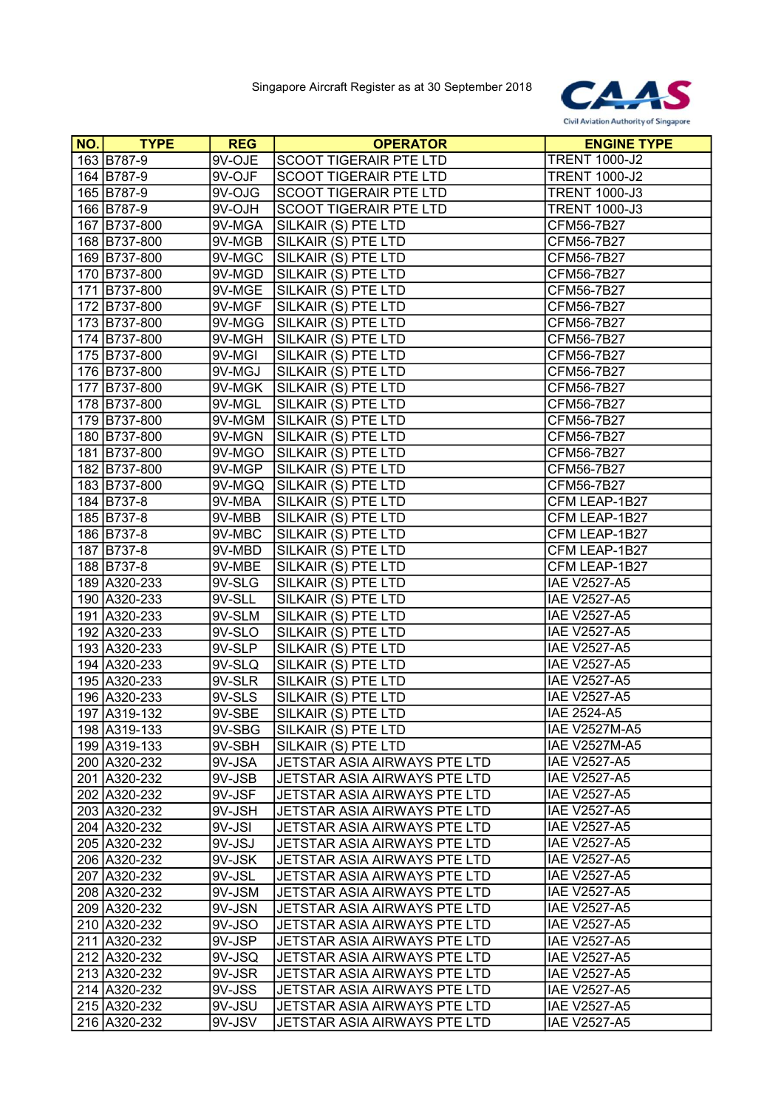

| NO. | <b>TYPE</b>  | <b>REG</b> | <b>OPERATOR</b>               | <b>ENGINE TYPE</b>   |
|-----|--------------|------------|-------------------------------|----------------------|
|     | 163 B787-9   | 9V-OJE     | <b>SCOOT TIGERAIR PTE LTD</b> | <b>TRENT 1000-J2</b> |
|     | 164 B787-9   | 9V-OJF     | SCOOT TIGERAIR PTE LTD        | <b>TRENT 1000-J2</b> |
|     | 165 B787-9   | 9V-OJG     | SCOOT TIGERAIR PTE LTD        | <b>TRENT 1000-J3</b> |
|     | 166 B787-9   | 9V-OJH     | SCOOT TIGERAIR PTE LTD        | <b>TRENT 1000-J3</b> |
|     | 167 B737-800 | $9V-MGA$   | SILKAIR (S) PTE LTD           | CFM56-7B27           |
|     | 168 B737-800 | 9V-MGB     | SILKAIR (S) PTE LTD           | CFM56-7B27           |
|     | 169 B737-800 | 9V-MGC     | SILKAIR (S) PTE LTD           | CFM56-7B27           |
|     | 170 B737-800 | 9V-MGD     | SILKAIR (S) PTE LTD           | CFM56-7B27           |
|     | 171 B737-800 | 9V-MGE     | SILKAIR (S) PTE LTD           | CFM56-7B27           |
|     | 172 B737-800 | 9V-MGF     | SILKAIR (S) PTE LTD           | CFM56-7B27           |
|     | 173 B737-800 | 9V-MGG     | SILKAIR (S) PTE LTD           | CFM56-7B27           |
|     | 174 B737-800 | 9V-MGH     | SILKAIR (S) PTE LTD           | CFM56-7B27           |
|     | 175 B737-800 | 9V-MGI     | SILKAIR (S) PTE LTD           | CFM56-7B27           |
|     | 176 B737-800 | 9V-MGJ     | SILKAIR (S) PTE LTD           | CFM56-7B27           |
|     | 177 B737-800 | 9V-MGK     | SILKAIR (S) PTE LTD           | CFM56-7B27           |
|     | 178 B737-800 | 9V-MGL     | SILKAIR (S) PTE LTD           | CFM56-7B27           |
|     | 179 B737-800 | 9V-MGM     | SILKAIR (S) PTE LTD           | CFM56-7B27           |
|     | 180 B737-800 | 9V-MGN     | SILKAIR (S) PTE LTD           | CFM56-7B27           |
|     | 181 B737-800 | 9V-MGO     | SILKAIR (S) PTE LTD           | CFM56-7B27           |
|     | 182 B737-800 | 9V-MGP     | SILKAIR (S) PTE LTD           | CFM56-7B27           |
|     | 183 B737-800 | 9V-MGQ     | SILKAIR (S) PTE LTD           | CFM56-7B27           |
|     | 184 B737-8   | 9V-MBA     | SILKAIR (S) PTE LTD           | CFM LEAP-1B27        |
|     | 185 B737-8   | 9V-MBB     | SILKAIR (S) PTE LTD           | CFM LEAP-1B27        |
|     | 186 B737-8   | 9V-MBC     | SILKAIR (S) PTE LTD           | CFM LEAP-1B27        |
|     | 187 B737-8   | 9V-MBD     | SILKAIR (S) PTE LTD           | CFM LEAP-1B27        |
|     | 188 B737-8   | 9V-MBE     | SILKAIR (S) PTE LTD           | CFM LEAP-1B27        |
|     | 189 A320-233 | 9V-SLG     | SILKAIR (S) PTE LTD           | IAE V2527-A5         |
|     | 190 A320-233 | 9V-SLL     | SILKAIR (S) PTE LTD           | <b>IAE V2527-A5</b>  |
|     | 191 A320-233 | $9V-SLM$   | SILKAIR (S) PTE LTD           | <b>IAE V2527-A5</b>  |
|     | 192 A320-233 | 9V-SLO     | SILKAIR (S) PTE LTD           | <b>IAE V2527-A5</b>  |
|     | 193 A320-233 | 9V-SLP     | SILKAIR (S) PTE LTD           | <b>IAE V2527-A5</b>  |
|     | 194 A320-233 | 9V-SLQ     | SILKAIR (S) PTE LTD           | <b>IAE V2527-A5</b>  |
|     | 195 A320-233 | 9V-SLR     | SILKAIR (S) PTE LTD           | <b>IAE V2527-A5</b>  |
|     | 196 A320-233 | 9V-SLS     | SILKAIR (S) PTE LTD           | <b>IAE V2527-A5</b>  |
|     | 197 A319-132 | 9V-SBE     | SILKAIR (S) PTE LTD           | IAE 2524-A5          |
|     | 198 A319-133 | 9V-SBG     | SILKAIR (S) PTE LTD           | <b>IAE V2527M-A5</b> |
|     | 199 A319-133 | 9V-SBH     | SILKAIR (S) PTE LTD           | <b>IAE V2527M-A5</b> |
|     | 200 A320-232 | 9V-JSA     | JETSTAR ASIA AIRWAYS PTE LTD  | <b>IAE V2527-A5</b>  |
|     | 201 A320-232 | 9V-JSB     | JETSTAR ASIA AIRWAYS PTE LTD  | <b>IAE V2527-A5</b>  |
|     | 202 A320-232 | 9V-JSF     | JETSTAR ASIA AIRWAYS PTE LTD  | IAE V2527-A5         |
|     | 203 A320-232 | 9V-JSH     | JETSTAR ASIA AIRWAYS PTE LTD  | IAE V2527-A5         |
|     | 204 A320-232 | 9V-JSI     | JETSTAR ASIA AIRWAYS PTE LTD  | <b>IAE V2527-A5</b>  |
|     | 205 A320-232 | 9V-JSJ     | JETSTAR ASIA AIRWAYS PTE LTD  | <b>IAE V2527-A5</b>  |
|     | 206 A320-232 | 9V-JSK     | JETSTAR ASIA AIRWAYS PTE LTD  | <b>IAE V2527-A5</b>  |
|     | 207 A320-232 | 9V-JSL     | JETSTAR ASIA AIRWAYS PTE LTD  | <b>IAE V2527-A5</b>  |
|     | 208 A320-232 | 9V-JSM     | JETSTAR ASIA AIRWAYS PTE LTD  | <b>IAE V2527-A5</b>  |
|     | 209 A320-232 | 9V-JSN     | JETSTAR ASIA AIRWAYS PTE LTD  | <b>IAE V2527-A5</b>  |
|     | 210 A320-232 | 9V-JSO     | JETSTAR ASIA AIRWAYS PTE LTD  | <b>IAE V2527-A5</b>  |
|     | 211 A320-232 | 9V-JSP     | JETSTAR ASIA AIRWAYS PTE LTD  | IAE V2527-A5         |
|     | 212 A320-232 | 9V-JSQ     | JETSTAR ASIA AIRWAYS PTE LTD  | <b>IAE V2527-A5</b>  |
|     | 213 A320-232 | 9V-JSR     | JETSTAR ASIA AIRWAYS PTE LTD  | <b>IAE V2527-A5</b>  |
|     | 214 A320-232 | 9V-JSS     | JETSTAR ASIA AIRWAYS PTE LTD  | <b>IAE V2527-A5</b>  |
|     | 215 A320-232 | 9V-JSU     | JETSTAR ASIA AIRWAYS PTE LTD  | <b>IAE V2527-A5</b>  |
|     | 216 A320-232 | 9V-JSV     | JETSTAR ASIA AIRWAYS PTE LTD  | IAE V2527-A5         |
|     |              |            |                               |                      |